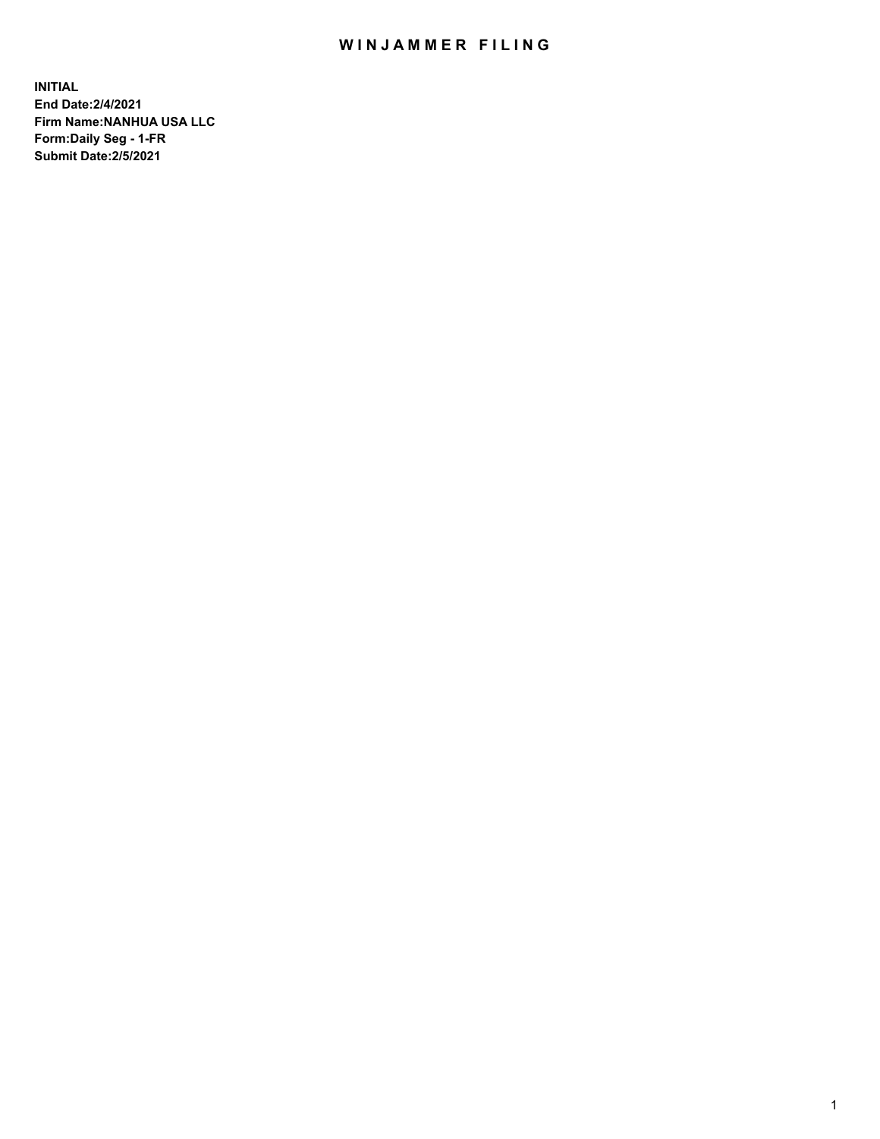## WIN JAMMER FILING

**INITIAL End Date:2/4/2021 Firm Name:NANHUA USA LLC Form:Daily Seg - 1-FR Submit Date:2/5/2021**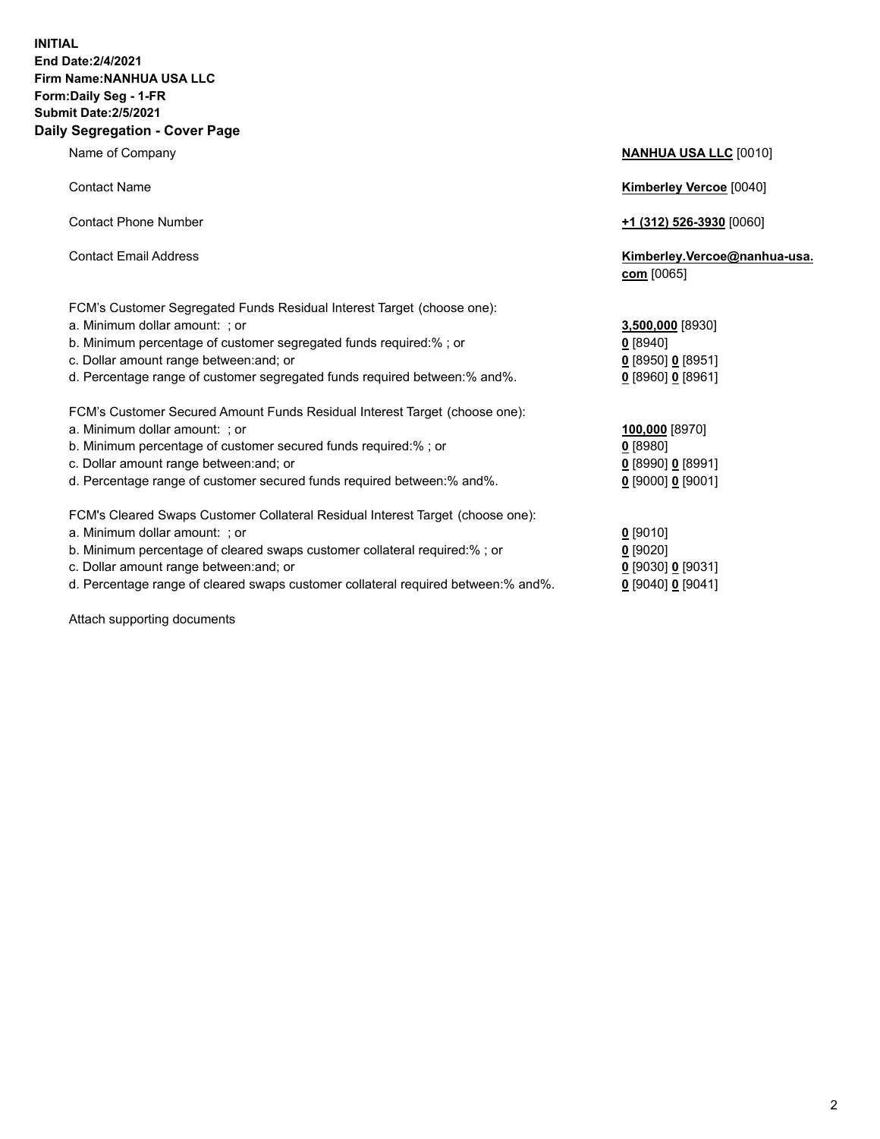## **INITIAL End Date:2/4/2021 Firm Name:NANHUA USA LLC Form:Daily Seg - 1-FR Submit Date:2/5/2021 Daily Segregation - Cover Page**

Name of Company **NANHUA USA LLC** [0010] Contact Name **Kimberley Vercoe** [0040] Contact Phone Number **+1 (312) 526-3930** [0060] Contact Email Address **Kimberley.Vercoe@nanhua-usa. com** [0065] FCM's Customer Segregated Funds Residual Interest Target (choose one): a. Minimum dollar amount: ; or **3,500,000** [8930] b. Minimum percentage of customer segregated funds required:% ; or **0** [8940] c. Dollar amount range between:and; or **0** [8950] **0** [8951] d. Percentage range of customer segregated funds required between:% and%. **0** [8960] **0** [8961] FCM's Cust a. Minimum dollar amount: ; or **100,000** [8970] b. Minimum percentage of customer secured funds required:% ; or **0** [8980] c. Dollar amount range between:and; or **0** [8990] **0** [8991] d. Percentage range of customer secured funds required between:% and%. **0** [9000] **0** [9001] FCM's Clear a. Minimum dollar amount: ; or **0** [9010] b. Minimum c. Dollar amount range between:and; or **0** [9030] **0** [9031]

d. Percentage range of cleared swaps customer collateral required between:% and%. **0** [9040] **0** [9041]

Attach supporting documents

| ount range between:and; or                                           | $0$ [8950] 0 [8951]   |
|----------------------------------------------------------------------|-----------------------|
| ge range of customer segregated funds required between:% and%.       | $0$ [8960] 0 [8961]   |
| omer Secured Amount Funds Residual Interest Target (choose one):     |                       |
| dollar amount: ; or                                                  | 100,000 [8970]        |
| percentage of customer secured funds required:%; or                  | $0$ [8980]            |
| iount range between:and; or                                          | 0 [8990] 0 [8991]     |
| ge range of customer secured funds required between:% and%.          | $0$ [9000] $0$ [9001] |
| red Swaps Customer Collateral Residual Interest Target (choose one): |                       |
| dollar amount: ; or                                                  | $0$ [9010]            |
| percentage of cleared swaps customer collateral required:%; or       | $0$ [9020]            |
|                                                                      |                       |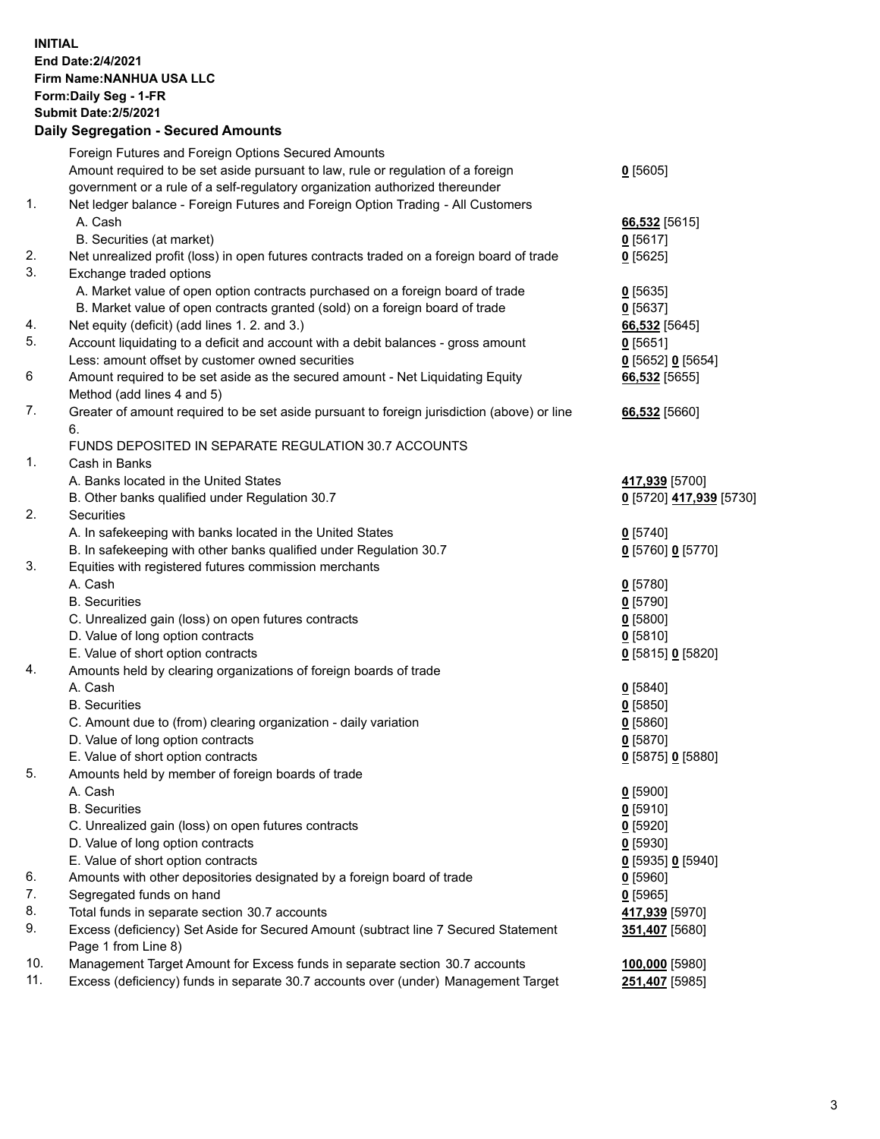## **INITIAL End Date:2/4/2021 Firm Name:NANHUA USA LLC Form:Daily Seg - 1-FR Submit Date:2/5/2021 Daily Segregation - Secured Amounts**

|     | Foreign Futures and Foreign Options Secured Amounts                                         |                         |
|-----|---------------------------------------------------------------------------------------------|-------------------------|
|     | Amount required to be set aside pursuant to law, rule or regulation of a foreign            | $0$ [5605]              |
|     | government or a rule of a self-regulatory organization authorized thereunder                |                         |
| 1.  | Net ledger balance - Foreign Futures and Foreign Option Trading - All Customers             |                         |
|     | A. Cash                                                                                     | 66,532 [5615]           |
|     | B. Securities (at market)                                                                   | $0$ [5617]              |
| 2.  | Net unrealized profit (loss) in open futures contracts traded on a foreign board of trade   | $0$ [5625]              |
| 3.  | Exchange traded options                                                                     |                         |
|     | A. Market value of open option contracts purchased on a foreign board of trade              | $0$ [5635]              |
|     | B. Market value of open contracts granted (sold) on a foreign board of trade                | $0$ [5637]              |
| 4.  | Net equity (deficit) (add lines 1. 2. and 3.)                                               | 66,532 [5645]           |
| 5.  | Account liquidating to a deficit and account with a debit balances - gross amount           | $0$ [5651]              |
|     | Less: amount offset by customer owned securities                                            | $0$ [5652] $0$ [5654]   |
| 6   | Amount required to be set aside as the secured amount - Net Liquidating Equity              | 66,532 [5655]           |
|     | Method (add lines 4 and 5)                                                                  |                         |
| 7.  | Greater of amount required to be set aside pursuant to foreign jurisdiction (above) or line | 66,532 [5660]           |
|     | 6.<br>FUNDS DEPOSITED IN SEPARATE REGULATION 30.7 ACCOUNTS                                  |                         |
| 1.  | Cash in Banks                                                                               |                         |
|     | A. Banks located in the United States                                                       | 417,939 [5700]          |
|     | B. Other banks qualified under Regulation 30.7                                              | 0 [5720] 417,939 [5730] |
| 2.  | <b>Securities</b>                                                                           |                         |
|     | A. In safekeeping with banks located in the United States                                   | $0$ [5740]              |
|     | B. In safekeeping with other banks qualified under Regulation 30.7                          | 0 [5760] 0 [5770]       |
| 3.  | Equities with registered futures commission merchants                                       |                         |
|     | A. Cash                                                                                     | $0$ [5780]              |
|     | <b>B.</b> Securities                                                                        | $0$ [5790]              |
|     | C. Unrealized gain (loss) on open futures contracts                                         | $0$ [5800]              |
|     | D. Value of long option contracts                                                           | 0[5810]                 |
|     | E. Value of short option contracts                                                          | 0 [5815] 0 [5820]       |
| 4.  | Amounts held by clearing organizations of foreign boards of trade                           |                         |
|     | A. Cash                                                                                     | $0$ [5840]              |
|     | <b>B.</b> Securities                                                                        | $0$ [5850]              |
|     | C. Amount due to (from) clearing organization - daily variation                             | 0[5860]                 |
|     | D. Value of long option contracts                                                           | $0$ [5870]              |
|     | E. Value of short option contracts                                                          | 0 [5875] 0 [5880]       |
| 5.  | Amounts held by member of foreign boards of trade                                           |                         |
|     | A. Cash                                                                                     | $0$ [5900]              |
|     | <b>B.</b> Securities                                                                        | $0$ [5910]              |
|     | C. Unrealized gain (loss) on open futures contracts                                         | $0$ [5920]              |
|     | D. Value of long option contracts                                                           | $0$ [5930]              |
|     | E. Value of short option contracts                                                          | $0$ [5935] 0 [5940]     |
| 6.  | Amounts with other depositories designated by a foreign board of trade                      | $0$ [5960]              |
| 7.  | Segregated funds on hand                                                                    | $0$ [5965]              |
| 8.  | Total funds in separate section 30.7 accounts                                               | 417,939 [5970]          |
| 9.  | Excess (deficiency) Set Aside for Secured Amount (subtract line 7 Secured Statement         | 351,407 [5680]          |
|     | Page 1 from Line 8)                                                                         |                         |
| 10. | Management Target Amount for Excess funds in separate section 30.7 accounts                 | 100,000 [5980]          |
| 11. | Excess (deficiency) funds in separate 30.7 accounts over (under) Management Target          | 251,407 [5985]          |
|     |                                                                                             |                         |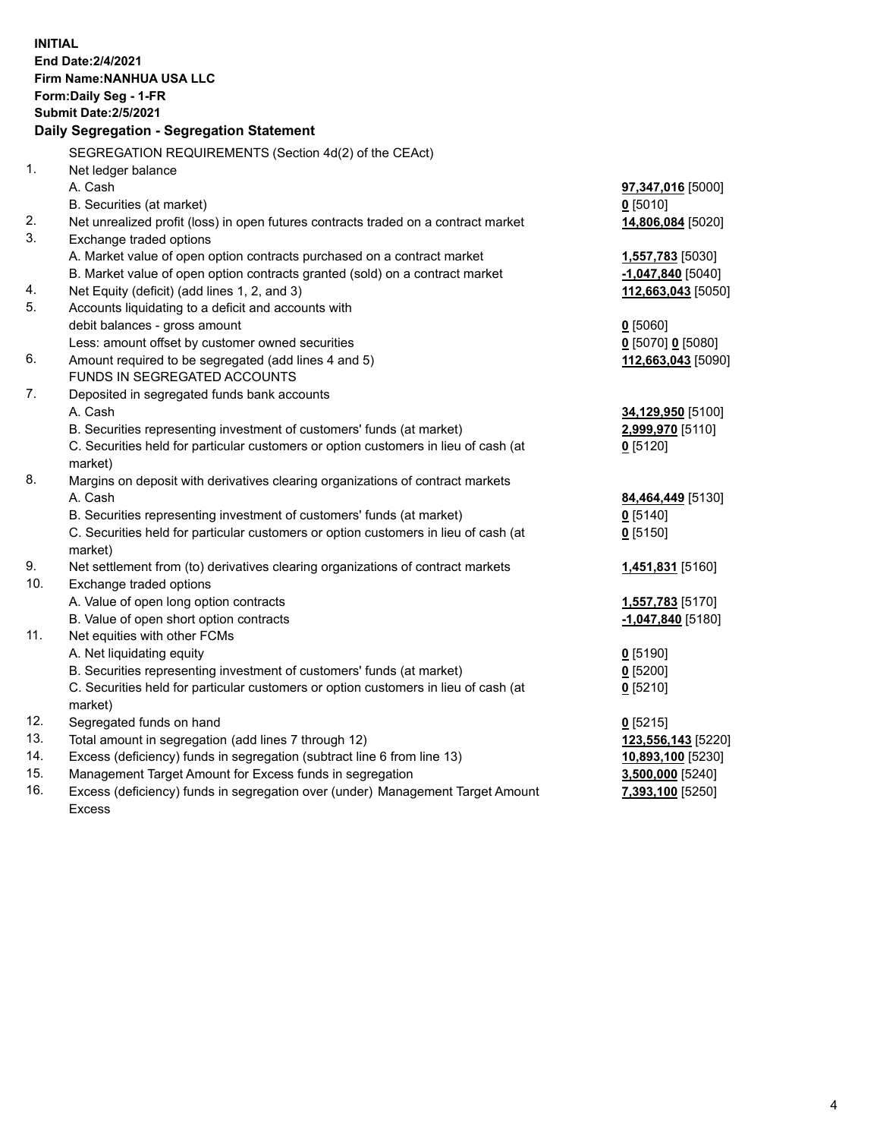| <b>INITIAL</b> | End Date: 2/4/2021                                                                   |                              |
|----------------|--------------------------------------------------------------------------------------|------------------------------|
|                | <b>Firm Name: NANHUA USA LLC</b>                                                     |                              |
|                | Form: Daily Seg - 1-FR<br><b>Submit Date: 2/5/2021</b>                               |                              |
|                | Daily Segregation - Segregation Statement                                            |                              |
|                |                                                                                      |                              |
|                | SEGREGATION REQUIREMENTS (Section 4d(2) of the CEAct)                                |                              |
| 1.             | Net ledger balance                                                                   |                              |
|                | A. Cash                                                                              | 97,347,016 [5000]            |
|                | B. Securities (at market)                                                            | $0$ [5010]                   |
| 2.             | Net unrealized profit (loss) in open futures contracts traded on a contract market   | 14,806,084 [5020]            |
| 3.             | Exchange traded options                                                              |                              |
|                | A. Market value of open option contracts purchased on a contract market              | 1,557,783 [5030]             |
|                | B. Market value of open option contracts granted (sold) on a contract market         | -1,047,840 <sup>[5040]</sup> |
| 4.             | Net Equity (deficit) (add lines 1, 2, and 3)                                         | 112,663,043 [5050]           |
| 5.             | Accounts liquidating to a deficit and accounts with                                  |                              |
|                | debit balances - gross amount                                                        | $0$ [5060]                   |
|                | Less: amount offset by customer owned securities                                     | $0$ [5070] 0 [5080]          |
| 6.             | Amount required to be segregated (add lines 4 and 5)<br>FUNDS IN SEGREGATED ACCOUNTS | 112,663,043 [5090]           |
| 7.             |                                                                                      |                              |
|                | Deposited in segregated funds bank accounts<br>A. Cash                               | 34,129,950 [5100]            |
|                | B. Securities representing investment of customers' funds (at market)                | 2,999,970 [5110]             |
|                | C. Securities held for particular customers or option customers in lieu of cash (at  | $0$ [5120]                   |
|                | market)                                                                              |                              |
| 8.             | Margins on deposit with derivatives clearing organizations of contract markets       |                              |
|                | A. Cash                                                                              | 84,464,449 [5130]            |
|                | B. Securities representing investment of customers' funds (at market)                | $0$ [5140]                   |
|                | C. Securities held for particular customers or option customers in lieu of cash (at  | $0$ [5150]                   |
|                | market)                                                                              |                              |
| 9.             | Net settlement from (to) derivatives clearing organizations of contract markets      | 1,451,831 [5160]             |
| 10.            | Exchange traded options                                                              |                              |
|                | A. Value of open long option contracts                                               | 1,557,783 [5170]             |
|                | B. Value of open short option contracts                                              | $-1,047,840$ [5180]          |
| 11.            | Net equities with other FCMs                                                         |                              |
|                | A. Net liquidating equity                                                            | $0$ [5190]                   |
|                | B. Securities representing investment of customers' funds (at market)                | $Q$ [5200]                   |
|                | C. Securities held for particular customers or option customers in lieu of cash (at  | $0$ [5210]                   |
|                | market)                                                                              |                              |
| 12.            | Segregated funds on hand                                                             | $0$ [5215]                   |
| 13.            | Total amount in segregation (add lines 7 through 12)                                 | 123,556,143 [5220]           |
| 14.            | Excess (deficiency) funds in segregation (subtract line 6 from line 13)              | 10,893,100 [5230]            |
| 15.            | Management Target Amount for Excess funds in segregation                             | 3,500,000 [5240]             |
| 16.            | Excess (deficiency) funds in segregation over (under) Management Target Amount       | 7,393,100 [5250]             |
|                | <b>Excess</b>                                                                        |                              |